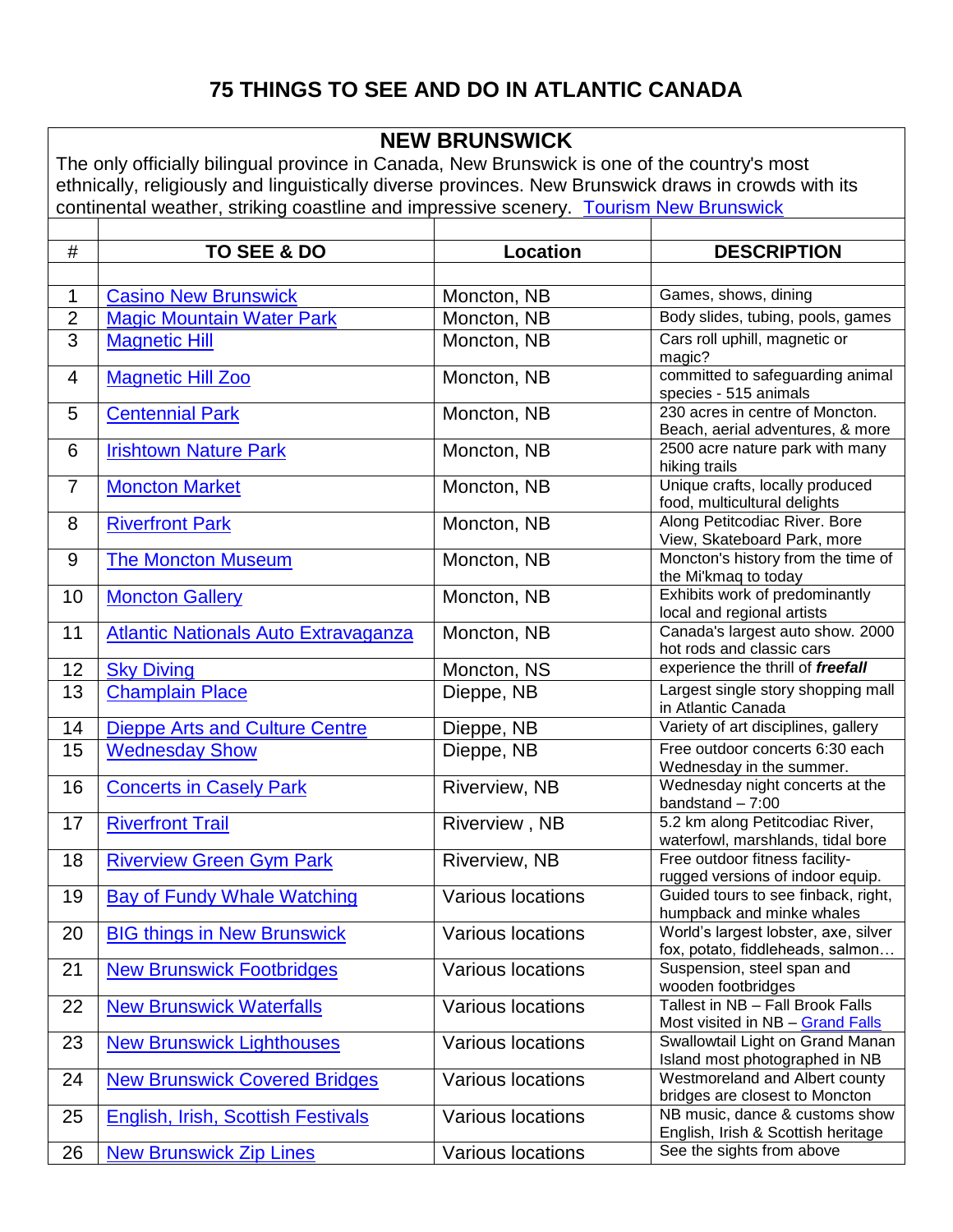# **75 THINGS TO SEE AND DO IN ATLANTIC CANADA**

#### **NEW BRUNSWICK**

The only officially bilingual province in Canada, [New Brunswick](http://www.newbrunswick.worldweb.com/) is one of the country's most ethnically, religiously and linguistically diverse provinces. New Brunswick draws in crowds with its continental weather, striking coastline and impressive scenery. [Tourism New Brunswick](http://www.tourismnewbrunswick.ca/)

| $\#$           | TO SEE & DO                                 | <b>Location</b>          | <b>DESCRIPTION</b>                                                      |
|----------------|---------------------------------------------|--------------------------|-------------------------------------------------------------------------|
|                |                                             |                          |                                                                         |
| 1              | <b>Casino New Brunswick</b>                 | Moncton, NB              | Games, shows, dining                                                    |
| $\overline{2}$ | <b>Magic Mountain Water Park</b>            | Moncton, NB              | Body slides, tubing, pools, games                                       |
| 3              | <b>Magnetic Hill</b>                        | Moncton, NB              | Cars roll uphill, magnetic or                                           |
|                |                                             |                          | magic?                                                                  |
| 4              | <b>Magnetic Hill Zoo</b>                    | Moncton, NB              | committed to safeguarding animal<br>species - 515 animals               |
| 5              | <b>Centennial Park</b>                      | Moncton, NB              | 230 acres in centre of Moncton.                                         |
|                |                                             |                          | Beach, aerial adventures, & more                                        |
| 6              | <b>Irishtown Nature Park</b>                | Moncton, NB              | 2500 acre nature park with many                                         |
|                |                                             |                          | hiking trails                                                           |
| $\overline{7}$ | <b>Moncton Market</b>                       | Moncton, NB              | Unique crafts, locally produced<br>food, multicultural delights         |
| 8              | <b>Riverfront Park</b>                      | Moncton, NB              | Along Petitcodiac River. Bore                                           |
|                |                                             |                          | View, Skateboard Park, more                                             |
| 9              | <b>The Moncton Museum</b>                   | Moncton, NB              | Moncton's history from the time of                                      |
|                |                                             |                          | the Mi'kmaq to today                                                    |
| 10             | <b>Moncton Gallery</b>                      | Moncton, NB              | Exhibits work of predominantly<br>local and regional artists            |
| 11             | <b>Atlantic Nationals Auto Extravaganza</b> | Moncton, NB              | Canada's largest auto show. 2000                                        |
|                |                                             |                          | hot rods and classic cars                                               |
| 12             | <b>Sky Diving</b>                           | Moncton, NS              | experience the thrill of freefall                                       |
| 13             | <b>Champlain Place</b>                      | Dieppe, NB               | Largest single story shopping mall                                      |
|                |                                             |                          | in Atlantic Canada                                                      |
| 14             | <b>Dieppe Arts and Culture Centre</b>       | Dieppe, NB               | Variety of art disciplines, gallery                                     |
| 15             | <b>Wednesday Show</b>                       | Dieppe, NB               | Free outdoor concerts 6:30 each<br>Wednesday in the summer.             |
| 16             | <b>Concerts in Casely Park</b>              | Riverview, NB            | Wednesday night concerts at the                                         |
|                |                                             |                          | bandstand $-7:00$                                                       |
| 17             | <b>Riverfront Trail</b>                     | Riverview, NB            | 5.2 km along Petitcodiac River,                                         |
|                |                                             |                          | waterfowl, marshlands, tidal bore                                       |
| 18             | <b>Riverview Green Gym Park</b>             | Riverview, NB            | Free outdoor fitness facility-                                          |
| 19             | <b>Bay of Fundy Whale Watching</b>          | Various locations        | rugged versions of indoor equip.<br>Guided tours to see finback, right, |
|                |                                             |                          | humpback and minke whales                                               |
| 20             | <b>BIG things in New Brunswick</b>          | Various locations        | World's largest lobster, axe, silver                                    |
|                |                                             |                          | fox, potato, fiddleheads, salmon                                        |
| 21             | <b>New Brunswick Footbridges</b>            | <b>Various locations</b> | Suspension, steel span and                                              |
|                |                                             |                          | wooden footbridges<br>Tallest in NB - Fall Brook Falls                  |
| 22             | <b>New Brunswick Waterfalls</b>             | <b>Various locations</b> | Most visited in NB - Grand Falls                                        |
| 23             | <b>New Brunswick Lighthouses</b>            | <b>Various locations</b> | Swallowtail Light on Grand Manan                                        |
|                |                                             |                          | Island most photographed in NB                                          |
| 24             | <b>New Brunswick Covered Bridges</b>        | <b>Various locations</b> | Westmoreland and Albert county                                          |
|                |                                             |                          | bridges are closest to Moncton                                          |
| 25             | <b>English, Irish, Scottish Festivals</b>   | <b>Various locations</b> | NB music, dance & customs show<br>English, Irish & Scottish heritage    |
| 26             | <b>New Brunswick Zip Lines</b>              | Various locations        | See the sights from above                                               |
|                |                                             |                          |                                                                         |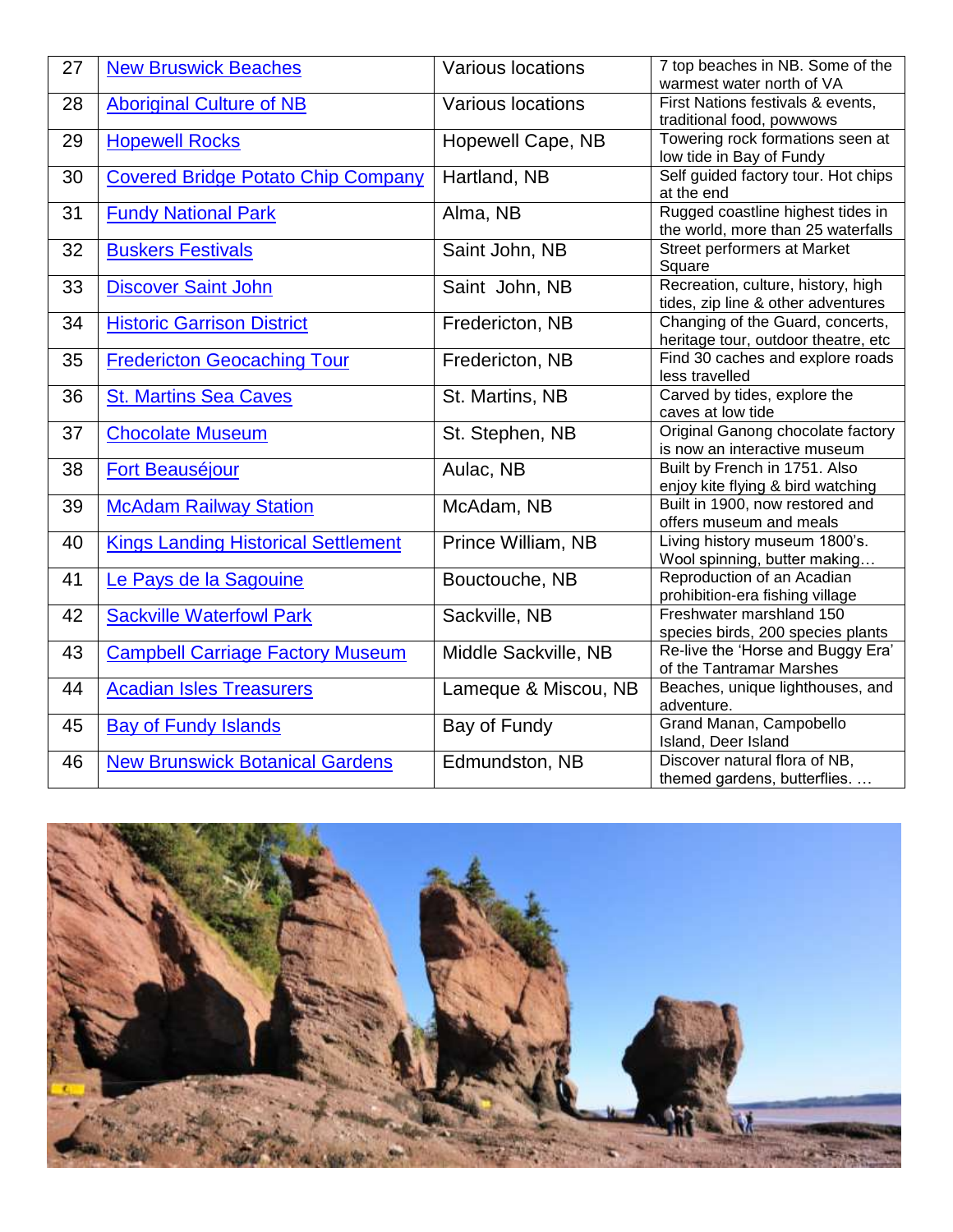| 27 | <b>New Bruswick Beaches</b>                | <b>Various locations</b> | 7 top beaches in NB. Some of the<br>warmest water north of VA                 |
|----|--------------------------------------------|--------------------------|-------------------------------------------------------------------------------|
| 28 | <b>Aboriginal Culture of NB</b>            | Various locations        | First Nations festivals & events,                                             |
| 29 | <b>Hopewell Rocks</b>                      | Hopewell Cape, NB        | traditional food, powwows<br>Towering rock formations seen at                 |
| 30 | <b>Covered Bridge Potato Chip Company</b>  | Hartland, NB             | low tide in Bay of Fundy<br>Self guided factory tour. Hot chips<br>at the end |
| 31 | <b>Fundy National Park</b>                 | Alma, NB                 | Rugged coastline highest tides in<br>the world, more than 25 waterfalls       |
| 32 | <b>Buskers Festivals</b>                   | Saint John, NB           | Street performers at Market<br>Square                                         |
| 33 | <b>Discover Saint John</b>                 | Saint John, NB           | Recreation, culture, history, high<br>tides, zip line & other adventures      |
| 34 | <b>Historic Garrison District</b>          | Fredericton, NB          | Changing of the Guard, concerts,<br>heritage tour, outdoor theatre, etc       |
| 35 | <b>Fredericton Geocaching Tour</b>         | Fredericton, NB          | Find 30 caches and explore roads<br>less travelled                            |
| 36 | <b>St. Martins Sea Caves</b>               | St. Martins, NB          | Carved by tides, explore the<br>caves at low tide                             |
| 37 | <b>Chocolate Museum</b>                    | St. Stephen, NB          | Original Ganong chocolate factory<br>is now an interactive museum             |
| 38 | <b>Fort Beauséjour</b>                     | Aulac, NB                | Built by French in 1751. Also<br>enjoy kite flying & bird watching            |
| 39 | <b>McAdam Railway Station</b>              | McAdam, NB               | Built in 1900, now restored and<br>offers museum and meals                    |
| 40 | <b>Kings Landing Historical Settlement</b> | Prince William, NB       | Living history museum 1800's.<br>Wool spinning, butter making                 |
| 41 | Le Pays de la Sagouine                     | Bouctouche, NB           | Reproduction of an Acadian<br>prohibition-era fishing village                 |
| 42 | <b>Sackville Waterfowl Park</b>            | Sackville, NB            | Freshwater marshland 150<br>species birds, 200 species plants                 |
| 43 | <b>Campbell Carriage Factory Museum</b>    | Middle Sackville, NB     | Re-live the 'Horse and Buggy Era'<br>of the Tantramar Marshes                 |
| 44 | <b>Acadian Isles Treasurers</b>            | Lameque & Miscou, NB     | Beaches, unique lighthouses, and<br>adventure.                                |
| 45 | <b>Bay of Fundy Islands</b>                | Bay of Fundy             | Grand Manan, Campobello<br>Island, Deer Island                                |
| 46 | <b>New Brunswick Botanical Gardens</b>     | Edmundston, NB           | Discover natural flora of NB,<br>themed gardens, butterflies.                 |

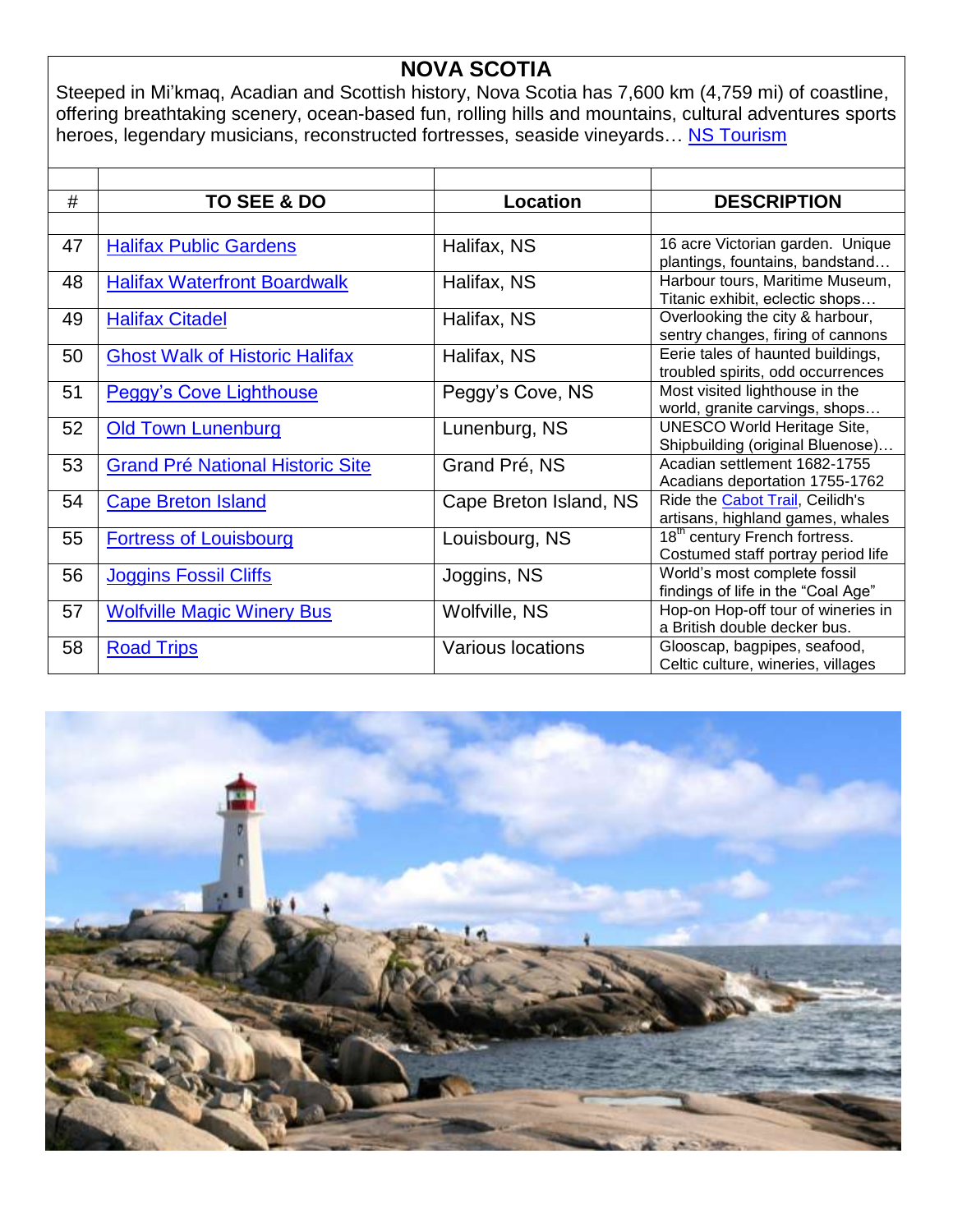### **NOVA SCOTIA**

Steeped in Mi'kmaq, Acadian and Scottish history, [Nova Scotia](http://www.novascotia.worldweb.com/) has 7,600 km (4,759 mi) of coastline, offering breathtaking scenery, ocean-based fun, rolling hills and mountains, cultural adventures sports heroes, legendary musicians, reconstructed fortresses, seaside vineyards... [NS Tourism](http://www.novascotia.com/)

| #  | <b>TO SEE &amp; DO</b>                  | <b>Location</b>          | <b>DESCRIPTION</b>                                                              |
|----|-----------------------------------------|--------------------------|---------------------------------------------------------------------------------|
|    |                                         |                          |                                                                                 |
| 47 | <b>Halifax Public Gardens</b>           | Halifax, NS              | 16 acre Victorian garden. Unique<br>plantings, fountains, bandstand             |
| 48 | <b>Halifax Waterfront Boardwalk</b>     | Halifax, NS              | Harbour tours, Maritime Museum,<br>Titanic exhibit, eclectic shops              |
| 49 | <b>Halifax Citadel</b>                  | Halifax, NS              | Overlooking the city & harbour,<br>sentry changes, firing of cannons            |
| 50 | <b>Ghost Walk of Historic Halifax</b>   | Halifax, NS              | Eerie tales of haunted buildings,<br>troubled spirits, odd occurrences          |
| 51 | <b>Peggy's Cove Lighthouse</b>          | Peggy's Cove, NS         | Most visited lighthouse in the<br>world, granite carvings, shops                |
| 52 | <b>Old Town Lunenburg</b>               | Lunenburg, NS            | <b>UNESCO World Heritage Site,</b><br>Shipbuilding (original Bluenose)          |
| 53 | <b>Grand Pré National Historic Site</b> | Grand Pré, NS            | Acadian settlement 1682-1755<br>Acadians deportation 1755-1762                  |
| 54 | <b>Cape Breton Island</b>               | Cape Breton Island, NS   | Ride the Cabot Trail, Ceilidh's<br>artisans, highland games, whales             |
| 55 | <b>Fortress of Louisbourg</b>           | Louisbourg, NS           | 18 <sup>th</sup> century French fortress.<br>Costumed staff portray period life |
| 56 | <b>Joggins Fossil Cliffs</b>            | Joggins, NS              | World's most complete fossil<br>findings of life in the "Coal Age"              |
| 57 | <b>Wolfville Magic Winery Bus</b>       | Wolfville, NS            | Hop-on Hop-off tour of wineries in<br>a British double decker bus.              |
| 58 | <b>Road Trips</b>                       | <b>Various locations</b> | Glooscap, bagpipes, seafood,<br>Celtic culture, wineries, villages              |

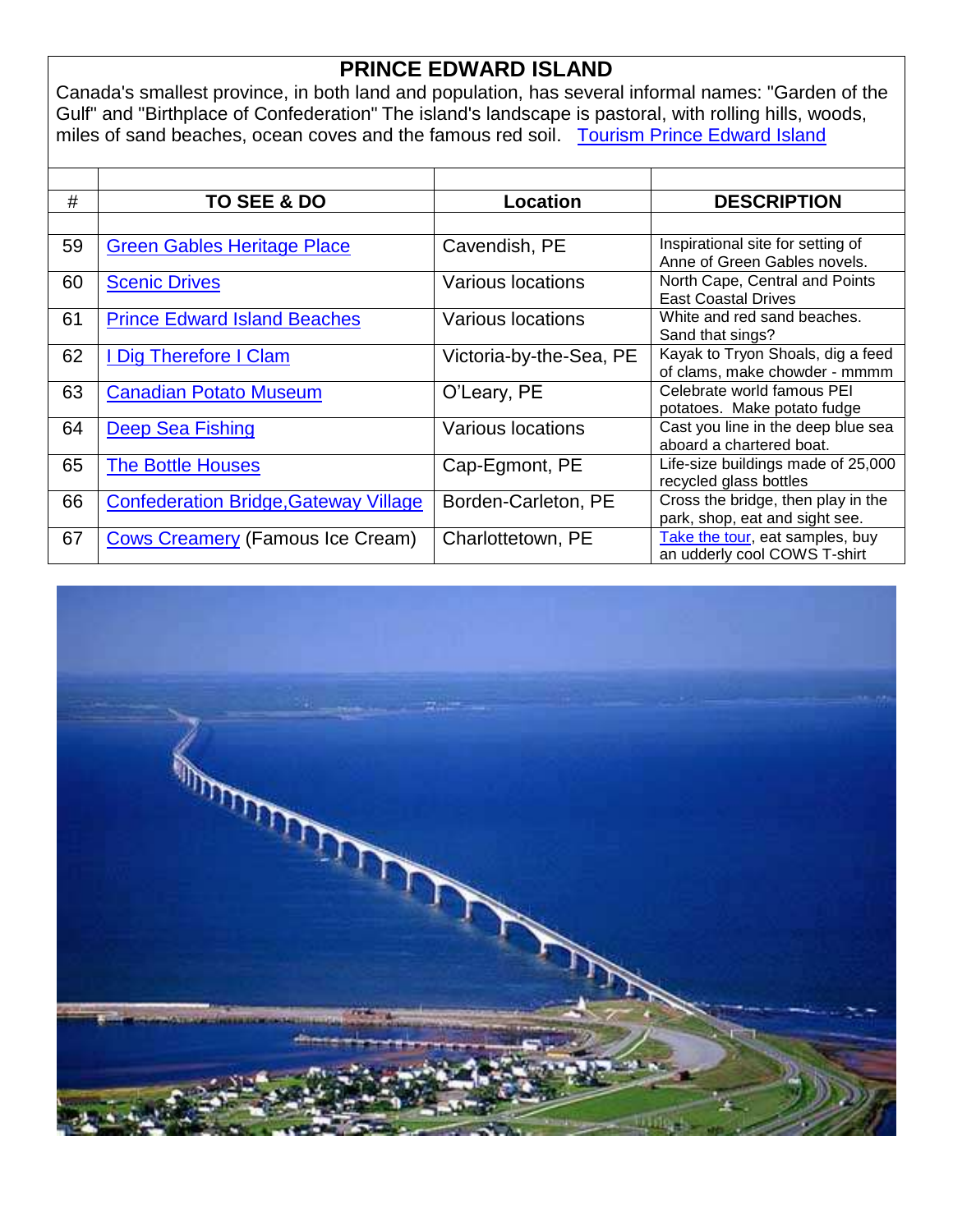# **PRINCE EDWARD ISLAND**

Canada's smallest province, in both land and population, has several informal names: "Garden of the Gulf" and "Birthplace of Confederation" The island's landscape is pastoral, with rolling hills, woods, miles of sand beaches, ocean coves and the famous red soil. [Tourism Prince Edward Island](http://www.tourismpei.com/about-pei)

| #  | <b>TO SEE &amp; DO</b>                       | <b>Location</b>          | <b>DESCRIPTION</b>                                                   |
|----|----------------------------------------------|--------------------------|----------------------------------------------------------------------|
|    |                                              |                          |                                                                      |
| 59 | <b>Green Gables Heritage Place</b>           | Cavendish, PE            | Inspirational site for setting of<br>Anne of Green Gables novels.    |
| 60 | <b>Scenic Drives</b>                         | <b>Various locations</b> | North Cape, Central and Points<br><b>East Coastal Drives</b>         |
| 61 | <b>Prince Edward Island Beaches</b>          | Various locations        | White and red sand beaches.<br>Sand that sings?                      |
| 62 | I Dig Therefore I Clam                       | Victoria-by-the-Sea, PE  | Kayak to Tryon Shoals, dig a feed<br>of clams, make chowder - mmmm   |
| 63 | <b>Canadian Potato Museum</b>                | O'Leary, PE              | Celebrate world famous PEI<br>potatoes. Make potato fudge            |
| 64 | Deep Sea Fishing                             | <b>Various locations</b> | Cast you line in the deep blue sea<br>aboard a chartered boat.       |
| 65 | <b>The Bottle Houses</b>                     | Cap-Egmont, PE           | Life-size buildings made of 25,000<br>recycled glass bottles         |
| 66 | <b>Confederation Bridge, Gateway Village</b> | Borden-Carleton, PE      | Cross the bridge, then play in the<br>park, shop, eat and sight see. |
| 67 | <b>Cows Creamery (Famous Ice Cream)</b>      | Charlottetown, PE        | Take the tour, eat samples, buy<br>an udderly cool COWS T-shirt      |

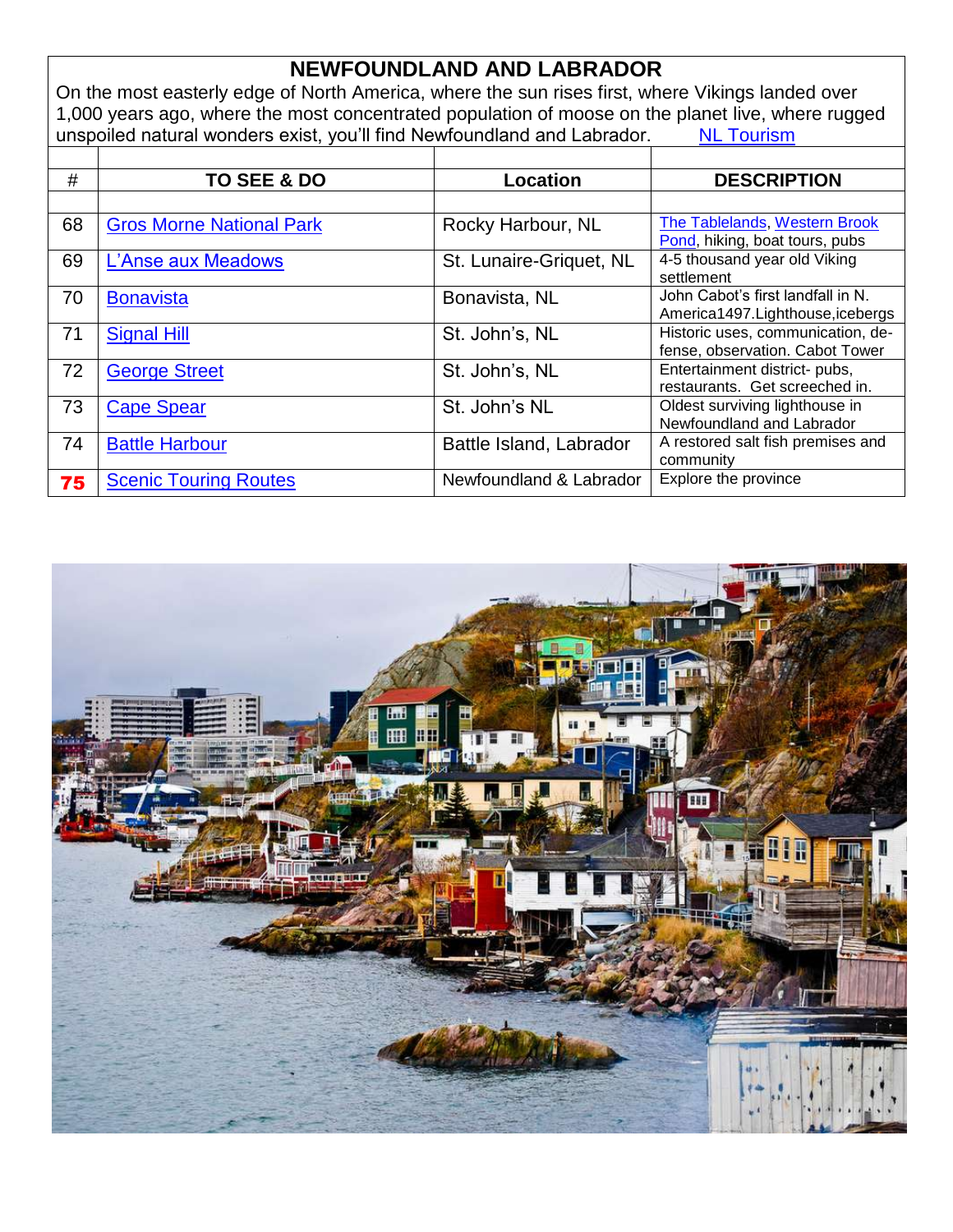# **NEWFOUNDLAND AND LABRADOR**

On the most easterly edge of North America, where the sun rises first, where Vikings landed over 1,000 years ago, where the most concentrated population of moose on the planet live, where rugged unspoiled natural wonders exist, you'll find Newfoundland and Labrador. [NL Tourism](http://www.newfoundlandlabrador.com/)

| #  | TO SEE & DO                     | Location                | <b>DESCRIPTION</b>                                                    |
|----|---------------------------------|-------------------------|-----------------------------------------------------------------------|
|    |                                 |                         |                                                                       |
| 68 | <b>Gros Morne National Park</b> | Rocky Harbour, NL       | The Tablelands, Western Brook<br>Pond, hiking, boat tours, pubs       |
| 69 | L'Anse aux Meadows              | St. Lunaire-Griquet, NL | 4-5 thousand year old Viking<br>settlement                            |
| 70 | <b>Bonavista</b>                | Bonavista, NL           | John Cabot's first landfall in N.<br>America1497.Lighthouse, icebergs |
| 71 | <b>Signal Hill</b>              | St. John's, NL          | Historic uses, communication, de-<br>fense, observation. Cabot Tower  |
| 72 | <b>George Street</b>            | St. John's, NL          | Entertainment district- pubs,<br>restaurants. Get screeched in.       |
| 73 | <b>Cape Spear</b>               | St. John's NL           | Oldest surviving lighthouse in<br>Newfoundland and Labrador           |
| 74 | <b>Battle Harbour</b>           | Battle Island, Labrador | A restored salt fish premises and<br>community                        |
| 75 | <b>Scenic Touring Routes</b>    | Newfoundland & Labrador | Explore the province                                                  |